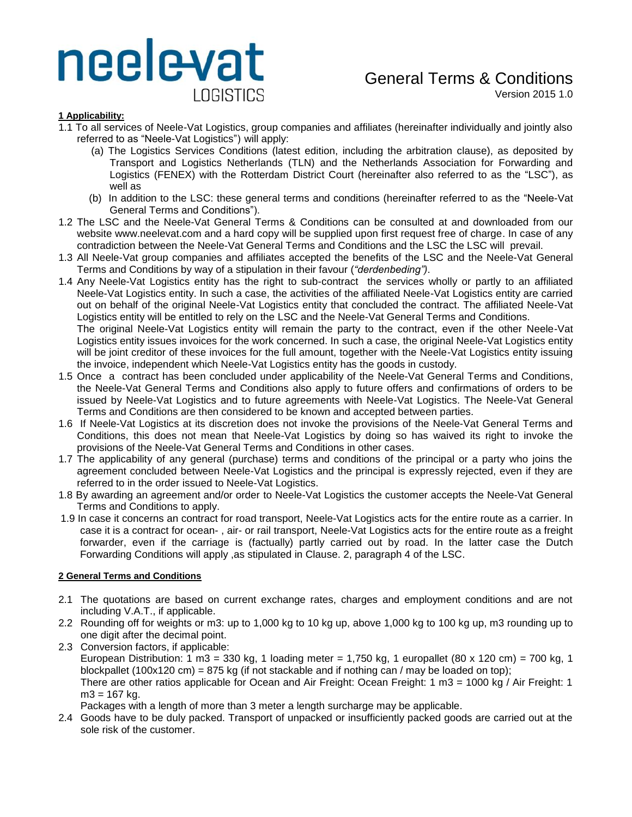# neelevat LOGISTICS

# General Terms & Conditions

Version 2015 1.0

## **1 Applicability:**

- 1.1 To all services of Neele-Vat Logistics, group companies and affiliates (hereinafter individually and jointly also referred to as "Neele-Vat Logistics") will apply:
	- (a) The Logistics Services Conditions (latest edition, including the arbitration clause), as deposited by Transport and Logistics Netherlands (TLN) and the Netherlands Association for Forwarding and Logistics (FENEX) with the Rotterdam District Court (hereinafter also referred to as the "LSC"), as well as
	- (b) In addition to the LSC: these general terms and conditions (hereinafter referred to as the "Neele-Vat General Terms and Conditions").
- 1.2 The LSC and the Neele-Vat General Terms & Conditions can be consulted at and downloaded from our website www.neelevat.com and a hard copy will be supplied upon first request free of charge. In case of any contradiction between the Neele-Vat General Terms and Conditions and the LSC the LSC will prevail.
- 1.3 All Neele-Vat group companies and affiliates accepted the benefits of the LSC and the Neele-Vat General Terms and Conditions by way of a stipulation in their favour (*"derdenbeding")*.
- 1.4 Any Neele-Vat Logistics entity has the right to sub-contract the services wholly or partly to an affiliated Neele-Vat Logistics entity. In such a case, the activities of the affiliated Neele-Vat Logistics entity are carried out on behalf of the original Neele-Vat Logistics entity that concluded the contract. The affiliated Neele-Vat Logistics entity will be entitled to rely on the LSC and the Neele-Vat General Terms and Conditions.

The original Neele-Vat Logistics entity will remain the party to the contract, even if the other Neele-Vat Logistics entity issues invoices for the work concerned. In such a case, the original Neele-Vat Logistics entity will be joint creditor of these invoices for the full amount, together with the Neele-Vat Logistics entity issuing the invoice, independent which Neele-Vat Logistics entity has the goods in custody.

- 1.5 Once a contract has been concluded under applicability of the Neele-Vat General Terms and Conditions, the Neele-Vat General Terms and Conditions also apply to future offers and confirmations of orders to be issued by Neele-Vat Logistics and to future agreements with Neele-Vat Logistics. The Neele-Vat General Terms and Conditions are then considered to be known and accepted between parties.
- 1.6 If Neele-Vat Logistics at its discretion does not invoke the provisions of the Neele-Vat General Terms and Conditions, this does not mean that Neele-Vat Logistics by doing so has waived its right to invoke the provisions of the Neele-Vat General Terms and Conditions in other cases.
- 1.7 The applicability of any general (purchase) terms and conditions of the principal or a party who joins the agreement concluded between Neele-Vat Logistics and the principal is expressly rejected, even if they are referred to in the order issued to Neele-Vat Logistics.
- 1.8 By awarding an agreement and/or order to Neele-Vat Logistics the customer accepts the Neele-Vat General Terms and Conditions to apply.
- 1.9 In case it concerns an contract for road transport, Neele-Vat Logistics acts for the entire route as a carrier. In case it is a contract for ocean- , air- or rail transport, Neele-Vat Logistics acts for the entire route as a freight forwarder, even if the carriage is (factually) partly carried out by road. In the latter case the Dutch Forwarding Conditions will apply ,as stipulated in Clause. 2, paragraph 4 of the LSC.

## **2 General Terms and Conditions**

- 2.1 The quotations are based on current exchange rates, charges and employment conditions and are not including V.A.T., if applicable.
- 2.2 Rounding off for weights or m3: up to 1,000 kg to 10 kg up, above 1,000 kg to 100 kg up, m3 rounding up to one digit after the decimal point.
- 2.3 Conversion factors, if applicable: European Distribution: 1 m3 = 330 kg, 1 loading meter = 1,750 kg, 1 europallet (80 x 120 cm) = 700 kg, 1 blockpallet (100x120 cm) = 875 kg (if not stackable and if nothing can / may be loaded on top); There are other ratios applicable for Ocean and Air Freight: Ocean Freight: 1 m3 = 1000 kg / Air Freight: 1 m3 = 167 kg.

Packages with a length of more than 3 meter a length surcharge may be applicable.

2.4 Goods have to be duly packed. Transport of unpacked or insufficiently packed goods are carried out at the sole risk of the customer.